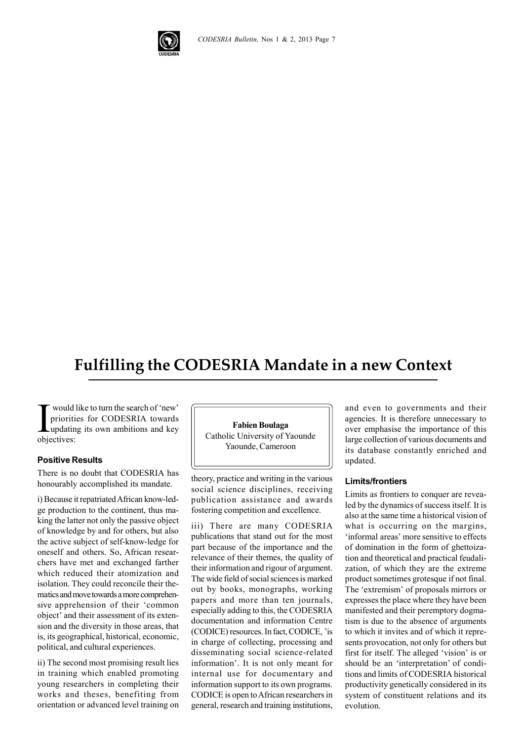

# **Fulfilling the CODESRIA Mandate in a new Context**

I would<br>prioriti<br>objectives: would like to turn the search of 'new' priorities for CODESRIA towards updating its own ambitions and key

#### **Positive Results**

There is no doubt that CODESRIA has honourably accomplished its mandate.

i) Because it repatriated African know-ledge production to the continent, thus making the latter not only the passive object of knowledge by and for others, but also the active subject of self-know-ledge for oneself and others. So, African researchers have met and exchanged farther which reduced their atomization and isolation. They could reconcile their thematics and move towards a more comprehensive apprehension of their 'common object' and their assessment of its extension and the diversity in those areas, that is, its geographical, historical, economic, political, and cultural experiences.

ii) The second most promising result lies in training which enabled promoting young researchers in completing their works and theses, benefiting from orientation or advanced level training on

**Fabien Boulaga** Catholic University of Yaounde Yaounde, Cameroon

theory, practice and writing in the various social science disciplines, receiving publication assistance and awards fostering competition and excellence.

iii) There are many CODESRIA publications that stand out for the most part because of the importance and the relevance of their themes, the quality of their information and rigour of argument. The wide field of social sciences is marked out by books, monographs, working papers and more than ten journals, especially adding to this, the CODESRIA documentation and information Centre (CODICE) resources. In fact, CODICE, 'is in charge of collecting, processing and disseminating social science-related information'. It is not only meant for internal use for documentary and information support to its own programs. CODICE is open to African researchers in general, research and training institutions,

and even to governments and their agencies. It is therefore unnecessary to over emphasise the importance of this large collection of various documents and its database constantly enriched and updated.

#### **Limits/frontiers**

Limits as frontiers to conquer are revealed by the dynamics of success itself. It is also at the same time a historical vision of what is occurring on the margins. 'informal areas' more sensitive to effects of domination in the form of ghettoization and theoretical and practical feudalization, of which they are the extreme product sometimes grotesque if not final. The 'extremism' of proposals mirrors or expresses the place where they have been manifested and their peremptory dogmatism is due to the absence of arguments to which it invites and of which it represents provocation, not only for others but first for itself. The alleged 'vision' is or should be an 'interpretation' of conditions and limits of CODESRIA historical productivity genetically considered in its system of constituent relations and its evolution.